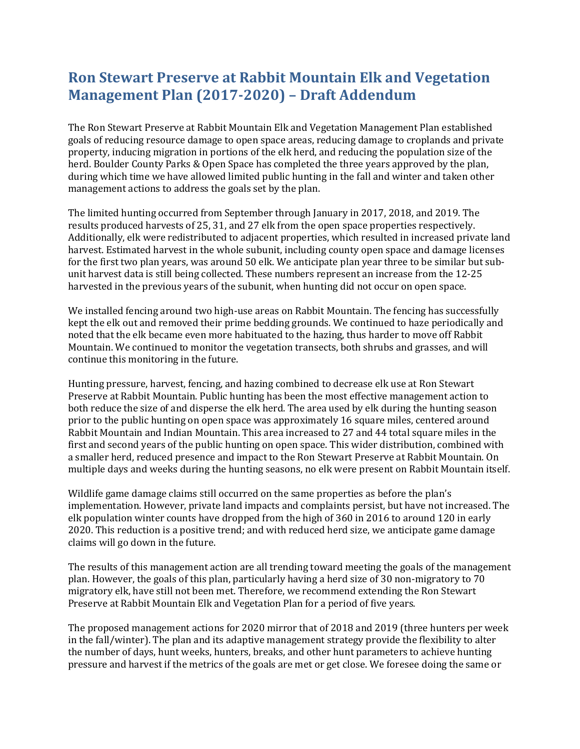## **Ron Stewart Preserve at Rabbit Mountain Elk and Vegetation Management Plan (2017-2020) – Draft Addendum**

The Ron Stewart Preserve at Rabbit Mountain Elk and Vegetation Management Plan established goals of reducing resource damage to open space areas, reducing damage to croplands and private property, inducing migration in portions of the elk herd, and reducing the population size of the herd. Boulder County Parks & Open Space has completed the three years approved by the plan, during which time we have allowed limited public hunting in the fall and winter and taken other management actions to address the goals set by the plan.

The limited hunting occurred from September through January in 2017, 2018, and 2019. The results produced harvests of 25, 31, and 27 elk from the open space properties respectively. Additionally, elk were redistributed to adjacent properties, which resulted in increased private land harvest. Estimated harvest in the whole subunit, including county open space and damage licenses for the first two plan years, was around 50 elk. We anticipate plan year three to be similar but subunit harvest data is still being collected. These numbers represent an increase from the 12-25 harvested in the previous years of the subunit, when hunting did not occur on open space.

We installed fencing around two high-use areas on Rabbit Mountain. The fencing has successfully kept the elk out and removed their prime bedding grounds. We continued to haze periodically and noted that the elk became even more habituated to the hazing, thus harder to move off Rabbit Mountain. We continued to monitor the vegetation transects, both shrubs and grasses, and will continue this monitoring in the future.

Hunting pressure, harvest, fencing, and hazing combined to decrease elk use at Ron Stewart Preserve at Rabbit Mountain. Public hunting has been the most effective management action to both reduce the size of and disperse the elk herd. The area used by elk during the hunting season prior to the public hunting on open space was approximately 16 square miles, centered around Rabbit Mountain and Indian Mountain. This area increased to 27 and 44 total square miles in the first and second years of the public hunting on open space. This wider distribution, combined with a smaller herd, reduced presence and impact to the Ron Stewart Preserve at Rabbit Mountain. On multiple days and weeks during the hunting seasons, no elk were present on Rabbit Mountain itself.

Wildlife game damage claims still occurred on the same properties as before the plan's implementation. However, private land impacts and complaints persist, but have not increased. The elk population winter counts have dropped from the high of 360 in 2016 to around 120 in early 2020. This reduction is a positive trend; and with reduced herd size, we anticipate game damage claims will go down in the future.

The results of this management action are all trending toward meeting the goals of the management plan. However, the goals of this plan, particularly having a herd size of 30 non-migratory to 70 migratory elk, have still not been met. Therefore, we recommend extending the Ron Stewart Preserve at Rabbit Mountain Elk and Vegetation Plan for a period of five years.

The proposed management actions for 2020 mirror that of 2018 and 2019 (three hunters per week in the fall/winter). The plan and its adaptive management strategy provide the flexibility to alter the number of days, hunt weeks, hunters, breaks, and other hunt parameters to achieve hunting pressure and harvest if the metrics of the goals are met or get close. We foresee doing the same or